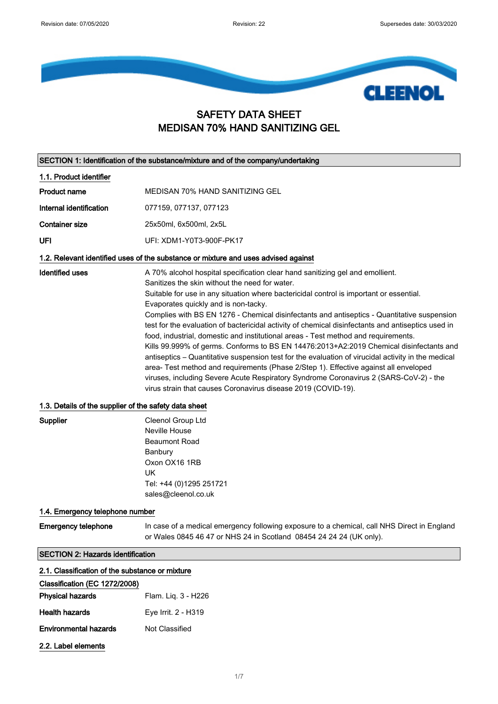

# SAFETY DATA SHEET MEDISAN 70% HAND SANITIZING GEL

SECTION 1: Identification of the substance/mixture and of the company/undertaking

1.1. Product identifier Product name MEDISAN 70% HAND SANITIZING GEL Internal identification 077159, 077137, 077123 Container size 25x50ml, 6x500ml, 2x5L UFI UFI: XDM1-Y0T3-900F-PK17 1.2. Relevant identified uses of the substance or mixture and uses advised against Identified uses **A** 70% alcohol hospital specification clear hand sanitizing gel and emollient. Sanitizes the skin without the need for water. Suitable for use in any situation where bactericidal control is important or essential. Evaporates quickly and is non-tacky. Complies with BS EN 1276 - Chemical disinfectants and antiseptics - Quantitative suspension test for the evaluation of bactericidal activity of chemical disinfectants and antiseptics used in food, industrial, domestic and institutional areas - Test method and requirements. Kills 99.999% of germs. Conforms to BS EN 14476:2013+A2:2019 Chemical disinfectants and antiseptics – Quantitative suspension test for the evaluation of virucidal activity in the medical area‐ Test method and requirements (Phase 2/Step 1). Effective against all enveloped viruses, including Severe Acute Respiratory Syndrome Coronavirus 2 (SARS-CoV-2) - the virus strain that causes Coronavirus disease 2019 (COVID-19). 1.3. Details of the supplier of the safety data sheet

| Supplier | Cleenol Group Ltd       |
|----------|-------------------------|
|          | Neville House           |
|          | <b>Beaumont Road</b>    |
|          | Banbury                 |
|          | Oxon OX16 1RB           |
|          | UK                      |
|          | Tel: +44 (0)1295 251721 |
|          | sales@cleenol.co.uk     |

### 1.4. Emergency telephone number

Emergency telephone In case of a medical emergency following exposure to a chemical, call NHS Direct in England or Wales 0845 46 47 or NHS 24 in Scotland 08454 24 24 24 (UK only).

#### SECTION 2: Hazards identification

| 2.1. Classification of the substance or mixture |
|-------------------------------------------------|

### Classification (EC 1272/2008)

| <b>Physical hazards</b>      | Flam. Lig. 3 - H226 |
|------------------------------|---------------------|
| <b>Health hazards</b>        | Eye Irrit. 2 - H319 |
| <b>Environmental hazards</b> | Not Classified      |
| 2.2. Label elements          |                     |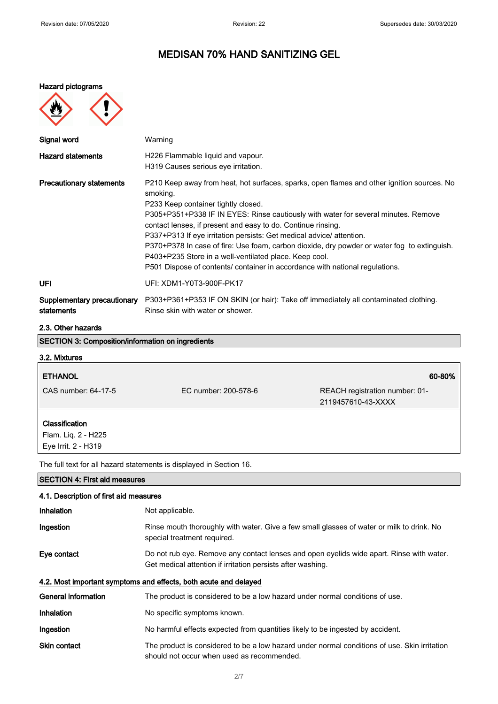#### Hazard pictograms

**MAG** 

 $\curvearrowleft$ 

| $\mathbf{E}$                              |                                                                                                                                                                                                                                                                                                                                                                                                                                                                                                                                                                                                                     |
|-------------------------------------------|---------------------------------------------------------------------------------------------------------------------------------------------------------------------------------------------------------------------------------------------------------------------------------------------------------------------------------------------------------------------------------------------------------------------------------------------------------------------------------------------------------------------------------------------------------------------------------------------------------------------|
| Signal word                               | Warning                                                                                                                                                                                                                                                                                                                                                                                                                                                                                                                                                                                                             |
| <b>Hazard statements</b>                  | H226 Flammable liquid and vapour.<br>H319 Causes serious eye irritation.                                                                                                                                                                                                                                                                                                                                                                                                                                                                                                                                            |
| <b>Precautionary statements</b>           | P210 Keep away from heat, hot surfaces, sparks, open flames and other ignition sources. No<br>smoking.<br>P233 Keep container tightly closed.<br>P305+P351+P338 IF IN EYES: Rinse cautiously with water for several minutes. Remove<br>contact lenses, if present and easy to do. Continue rinsing.<br>P337+P313 If eye irritation persists: Get medical advice/attention.<br>P370+P378 In case of fire: Use foam, carbon dioxide, dry powder or water fog to extinguish.<br>P403+P235 Store in a well-ventilated place. Keep cool.<br>P501 Dispose of contents/ container in accordance with national regulations. |
| <b>UFI</b>                                | UFI: XDM1-Y0T3-900F-PK17                                                                                                                                                                                                                                                                                                                                                                                                                                                                                                                                                                                            |
| Supplementary precautionary<br>statements | P303+P361+P353 IF ON SKIN (or hair): Take off immediately all contaminated clothing.<br>Rinse skin with water or shower.                                                                                                                                                                                                                                                                                                                                                                                                                                                                                            |

### 2.3. Other hazards

| <b>SECTION 3: Composition/information on ingredients</b> |                                                                                                                                                         |                                                      |
|----------------------------------------------------------|---------------------------------------------------------------------------------------------------------------------------------------------------------|------------------------------------------------------|
| 3.2. Mixtures                                            |                                                                                                                                                         |                                                      |
| <b>ETHANOL</b>                                           |                                                                                                                                                         | 60-80%                                               |
| CAS number: 64-17-5                                      | FC number: 200-578-6                                                                                                                                    | REACH registration number: 01-<br>2119457610-43-XXXX |
| Classification                                           |                                                                                                                                                         |                                                      |
| Flam. Liq. 2 - H225<br>Eye Irrit. 2 - H319               |                                                                                                                                                         |                                                      |
|                                                          | The full text for all hazard statements is displayed in Section 16.                                                                                     |                                                      |
| <b>SECTION 4: First aid measures</b>                     |                                                                                                                                                         |                                                      |
| 4.1. Description of first aid measures                   |                                                                                                                                                         |                                                      |
| Inhalation                                               | Not applicable.                                                                                                                                         |                                                      |
| Ingestion                                                | Rinse mouth thoroughly with water. Give a few small glasses of water or milk to drink. No<br>special treatment required.                                |                                                      |
| Eye contact                                              | Do not rub eye. Remove any contact lenses and open eyelids wide apart. Rinse with water.<br>Get medical attention if irritation persists after washing. |                                                      |

## 4.2. Most important symptoms and effects, both acute and delayed

| General information | The product is considered to be a low hazard under normal conditions of use.                                                               |
|---------------------|--------------------------------------------------------------------------------------------------------------------------------------------|
| Inhalation          | No specific symptoms known.                                                                                                                |
| Ingestion           | No harmful effects expected from quantities likely to be ingested by accident.                                                             |
| <b>Skin contact</b> | The product is considered to be a low hazard under normal conditions of use. Skin irritation<br>should not occur when used as recommended. |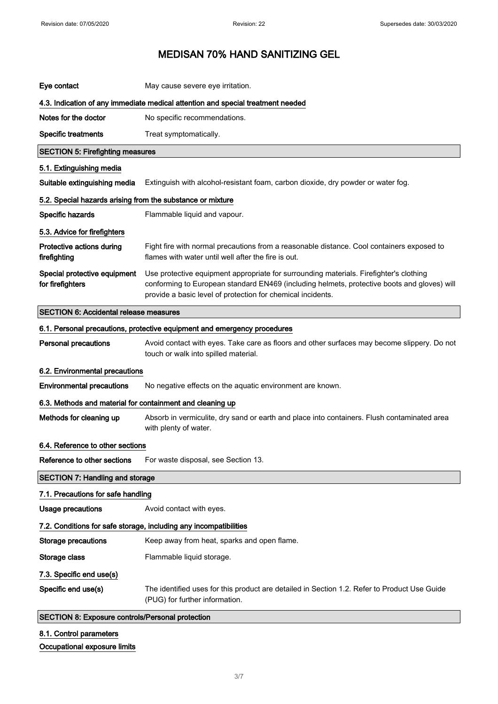| Eye contact                                                       | May cause severe eye irritation.                                                                                                                                                                                                                     |  |
|-------------------------------------------------------------------|------------------------------------------------------------------------------------------------------------------------------------------------------------------------------------------------------------------------------------------------------|--|
|                                                                   | 4.3. Indication of any immediate medical attention and special treatment needed                                                                                                                                                                      |  |
| Notes for the doctor                                              | No specific recommendations.                                                                                                                                                                                                                         |  |
| <b>Specific treatments</b>                                        | Treat symptomatically.                                                                                                                                                                                                                               |  |
| <b>SECTION 5: Firefighting measures</b>                           |                                                                                                                                                                                                                                                      |  |
| 5.1. Extinguishing media                                          |                                                                                                                                                                                                                                                      |  |
| Suitable extinguishing media                                      | Extinguish with alcohol-resistant foam, carbon dioxide, dry powder or water fog.                                                                                                                                                                     |  |
| 5.2. Special hazards arising from the substance or mixture        |                                                                                                                                                                                                                                                      |  |
| Specific hazards                                                  | Flammable liquid and vapour.                                                                                                                                                                                                                         |  |
| 5.3. Advice for firefighters                                      |                                                                                                                                                                                                                                                      |  |
| Protective actions during<br>firefighting                         | Fight fire with normal precautions from a reasonable distance. Cool containers exposed to<br>flames with water until well after the fire is out.                                                                                                     |  |
| Special protective equipment<br>for firefighters                  | Use protective equipment appropriate for surrounding materials. Firefighter's clothing<br>conforming to European standard EN469 (including helmets, protective boots and gloves) will<br>provide a basic level of protection for chemical incidents. |  |
| <b>SECTION 6: Accidental release measures</b>                     |                                                                                                                                                                                                                                                      |  |
|                                                                   | 6.1. Personal precautions, protective equipment and emergency procedures                                                                                                                                                                             |  |
| <b>Personal precautions</b>                                       | Avoid contact with eyes. Take care as floors and other surfaces may become slippery. Do not<br>touch or walk into spilled material.                                                                                                                  |  |
| 6.2. Environmental precautions                                    |                                                                                                                                                                                                                                                      |  |
| <b>Environmental precautions</b>                                  | No negative effects on the aquatic environment are known.                                                                                                                                                                                            |  |
| 6.3. Methods and material for containment and cleaning up         |                                                                                                                                                                                                                                                      |  |
| Methods for cleaning up                                           | Absorb in vermiculite, dry sand or earth and place into containers. Flush contaminated area<br>with plenty of water.                                                                                                                                 |  |
| 6.4. Reference to other sections                                  |                                                                                                                                                                                                                                                      |  |
| Reference to other sections                                       | For waste disposal, see Section 13.                                                                                                                                                                                                                  |  |
| <b>SECTION 7: Handling and storage</b>                            |                                                                                                                                                                                                                                                      |  |
| 7.1. Precautions for safe handling                                |                                                                                                                                                                                                                                                      |  |
| Usage precautions                                                 | Avoid contact with eyes.                                                                                                                                                                                                                             |  |
| 7.2. Conditions for safe storage, including any incompatibilities |                                                                                                                                                                                                                                                      |  |
| <b>Storage precautions</b>                                        | Keep away from heat, sparks and open flame.                                                                                                                                                                                                          |  |
| Storage class                                                     | Flammable liquid storage.                                                                                                                                                                                                                            |  |
| 7.3. Specific end use(s)                                          |                                                                                                                                                                                                                                                      |  |
| Specific end use(s)                                               | The identified uses for this product are detailed in Section 1.2. Refer to Product Use Guide<br>(PUG) for further information.                                                                                                                       |  |
| SECTION 8: Exposure controls/Personal protection                  |                                                                                                                                                                                                                                                      |  |

- 8.1. Control parameters
- Occupational exposure limits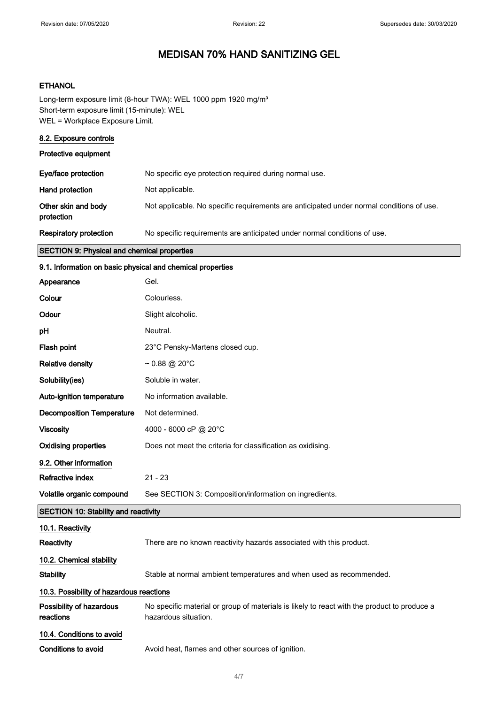### **ETHANOL**

Long-term exposure limit (8-hour TWA): WEL 1000 ppm 1920 mg/m<sup>3</sup> Short-term exposure limit (15-minute): WEL WEL = Workplace Exposure Limit.

| 8.2. Exposure controls                             |                                                                                          |
|----------------------------------------------------|------------------------------------------------------------------------------------------|
| <b>Protective equipment</b>                        |                                                                                          |
| Eye/face protection                                | No specific eye protection required during normal use.                                   |
| Hand protection                                    | Not applicable.                                                                          |
| Other skin and body<br>protection                  | Not applicable. No specific requirements are anticipated under normal conditions of use. |
| <b>Respiratory protection</b>                      | No specific requirements are anticipated under normal conditions of use.                 |
| <b>SECTION 9: Physical and chemical properties</b> |                                                                                          |

### 9.1. Information on basic physical and chemical properties

| Appearance                                  | Gel.                                                                                                                |  |
|---------------------------------------------|---------------------------------------------------------------------------------------------------------------------|--|
| Colour                                      | Colourless.                                                                                                         |  |
| Odour                                       | Slight alcoholic.                                                                                                   |  |
| рH                                          | Neutral.                                                                                                            |  |
| Flash point                                 | 23°C Pensky-Martens closed cup.                                                                                     |  |
| <b>Relative density</b>                     | $\sim 0.88 \text{ @ } 20^{\circ} \text{C}$                                                                          |  |
| Solubility(ies)                             | Soluble in water.                                                                                                   |  |
| Auto-ignition temperature                   | No information available.                                                                                           |  |
| <b>Decomposition Temperature</b>            | Not determined.                                                                                                     |  |
| <b>Viscosity</b>                            | 4000 - 6000 cP @ 20°C                                                                                               |  |
| <b>Oxidising properties</b>                 | Does not meet the criteria for classification as oxidising.                                                         |  |
| 9.2. Other information                      |                                                                                                                     |  |
| <b>Refractive index</b>                     | $21 - 23$                                                                                                           |  |
| Volatile organic compound                   | See SECTION 3: Composition/information on ingredients.                                                              |  |
| <b>SECTION 10: Stability and reactivity</b> |                                                                                                                     |  |
| 10.1. Reactivity                            |                                                                                                                     |  |
| Reactivity                                  | There are no known reactivity hazards associated with this product.                                                 |  |
| 10.2. Chemical stability                    |                                                                                                                     |  |
| <b>Stability</b>                            | Stable at normal ambient temperatures and when used as recommended.                                                 |  |
| 10.3. Possibility of hazardous reactions    |                                                                                                                     |  |
| Possibility of hazardous<br>reactions       | No specific material or group of materials is likely to react with the product to produce a<br>hazardous situation. |  |
| 10.4. Conditions to avoid                   |                                                                                                                     |  |
| <b>Conditions to avoid</b>                  | Avoid heat, flames and other sources of ignition.                                                                   |  |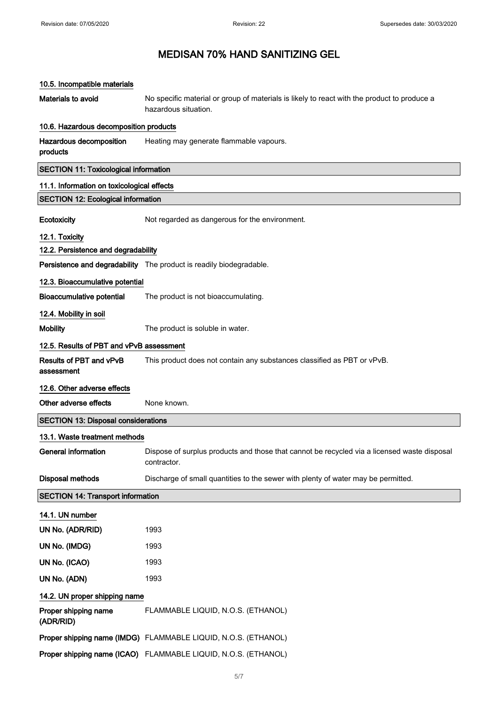# 10.5. Incompatible materials Materials to avoid No specific material or group of materials is likely to react with the product to produce a hazardous situation. 10.6. Hazardous decomposition products Hazardous decomposition products Heating may generate flammable vapours. SECTION 11: Toxicological information 11.1. Information on toxicological effects SECTION 12: Ecological information Ecotoxicity **Not regarded as dangerous for the environment.** 12.1. Toxicity 12.2. Persistence and degradability Persistence and degradability The product is readily biodegradable. 12.3. Bioaccumulative potential Bioaccumulative potential The product is not bioaccumulating. 12.4. Mobility in soil Mobility **Mobility** The product is soluble in water. 12.5. Results of PBT and vPvB assessment Results of PBT and vPvB assessment This product does not contain any substances classified as PBT or vPvB. 12.6. Other adverse effects Other adverse effects None known. SECTION 13: Disposal considerations 13.1. Waste treatment methods General information **Dispose of surplus products and those that cannot be recycled via a licensed waste disposal** contractor. Disposal methods **Discharge of small quantities to the sewer with plenty of water may be permitted.** SECTION 14: Transport information 14.1. UN number UN No. (ADR/RID) 1993 UN No. (IMDG) 1993 UN No. (ICAO) 1993 UN No. (ADN) 1993 14.2. UN proper shipping name Proper shipping name (ADR/RID) FLAMMABLE LIQUID, N.O.S. (ETHANOL) Proper shipping name (IMDG) FLAMMABLE LIQUID, N.O.S. (ETHANOL)

Proper shipping name (ICAO) FLAMMABLE LIQUID, N.O.S. (ETHANOL)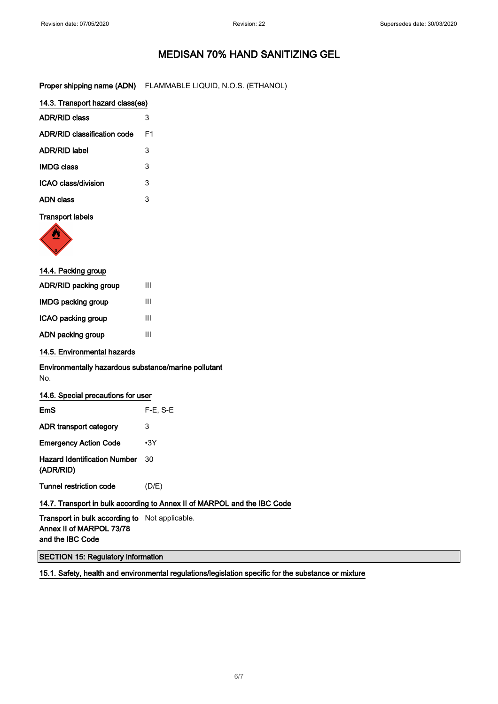Proper shipping name (ADN) FLAMMABLE LIQUID, N.O.S. (ETHANOL)

| 14.3. Transport hazard class(es) |    |
|----------------------------------|----|
| <b>ADR/RID class</b>             | 3  |
| ADR/RID classification code      | F1 |
| ADR/RID label                    | 3  |
| <b>IMDG class</b>                | 3  |
| ICAO class/division              | 3  |
| ADN class                        |    |

### Transport labels



| 14.4. Packing group   |   |
|-----------------------|---|
| ADR/RID packing group | Ш |
| IMDG packing group    | Ш |
| ICAO packing group    | Ш |
| ADN packing group     | Ш |
|                       |   |

### 14.5. Environmental hazards

### Environmentally hazardous substance/marine pollutant No.

| 14.6. Special precautions for user                                       |            |
|--------------------------------------------------------------------------|------------|
| EmS                                                                      | $F-E. S-E$ |
| ADR transport category                                                   | 3          |
| <b>Emergency Action Code</b>                                             | $\cdot$ 3Y |
| <b>Hazard Identification Number</b><br>(ADR/RID)                         | 30         |
| Tunnel restriction code                                                  | (D/E)      |
| 14.7. Transport in bulk according to Annex II of MARPOL and the IBC Code |            |

Transport in bulk according to Not applicable. Annex II of MARPOL 73/78 and the IBC Code

#### SECTION 15: Regulatory information

15.1. Safety, health and environmental regulations/legislation specific for the substance or mixture